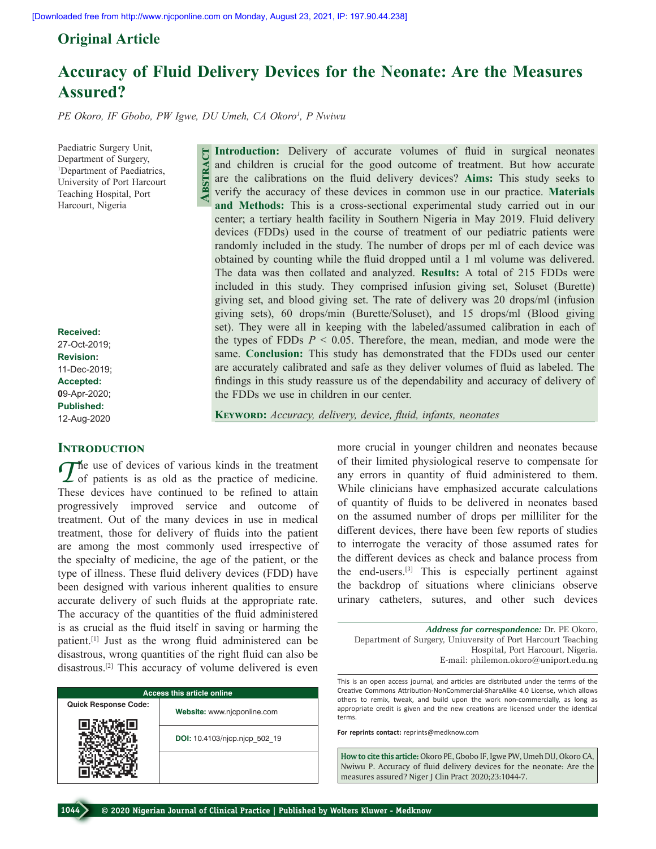## **Original Article**

# **Accuracy of Fluid Delivery Devices for the Neonate: Are the Measures Assured?**

*PE Okoro, IF Gbobo, PW Igwe, DU Umeh, CA Okoro1 , P Nwiwu*

**Abstract**

Paediatric Surgery Unit, Department of Surgery, 1 Department of Paediatrics, University of Port Harcourt Teaching Hospital, Port Harcourt, Nigeria

**Received:** 27-Oct-2019; **Revision:** 11-Dec-2019; **Accepted: 0**9-Apr-2020; **Published:** 12-Aug-2020

## **INTRODUCTION**

The use of devices of various kinds in the treatment<br>
of patients is as old as the practice of medicine. These devices have continued to be refined to attain progressively improved service and outcome of treatment. Out of the many devices in use in medical treatment, those for delivery of fluids into the patient are among the most commonly used irrespective of the specialty of medicine, the age of the patient, or the type of illness. These fluid delivery devices (FDD) have been designed with various inherent qualities to ensure accurate delivery of such fluids at the appropriate rate. The accuracy of the quantities of the fluid administered is as crucial as the fluid itself in saving or harming the patient.[1] Just as the wrong fluid administered can be disastrous, wrong quantities of the right fluid can also be disastrous.[2] This accuracy of volume delivered is even

| <b>Access this article online</b> |                               |  |  |  |
|-----------------------------------|-------------------------------|--|--|--|
| <b>Quick Response Code:</b>       | Website: www.njcponline.com   |  |  |  |
|                                   | DOI: 10.4103/njcp.njcp 502 19 |  |  |  |
|                                   |                               |  |  |  |

**Introduction:** Delivery of accurate volumes of fluid in surgical neonates and children is crucial for the good outcome of treatment. But how accurate are the calibrations on the fluid delivery devices? **Aims:** This study seeks to verify the accuracy of these devices in common use in our practice. **Materials and Methods:** This is a cross‑sectional experimental study carried out in our center; a tertiary health facility in Southern Nigeria in May 2019. Fluid delivery devices (FDDs) used in the course of treatment of our pediatric patients were randomly included in the study. The number of drops per ml of each device was obtained by counting while the fluid dropped until a 1 ml volume was delivered. The data was then collated and analyzed. **Results:** A total of 215 FDDs were included in this study. They comprised infusion giving set, Soluset (Burette) giving set, and blood giving  set. The rate of delivery was 20 drops/ml (infusion giving sets), 60 drops/min (Burette/Soluset), and 15 drops/ml (Blood giving set). They were all in keeping with the labeled/assumed calibration in each of the types of FDDs *P* < 0.05. Therefore, the mean, median, and mode were the same. **Conclusion:** This study has demonstrated that the FDDs used our center are accurately calibrated and safe as they deliver volumes of fluid as labeled. The findings in this study reassure us of the dependability and accuracy of delivery of the FDDs we use in children in our center.

**Keyword:** *Accuracy, delivery, device, fluid, infants, neonates*

more crucial in younger children and neonates because of their limited physiological reserve to compensate for any errors in quantity of fluid administered to them. While clinicians have emphasized accurate calculations of quantity of fluids to be delivered in neonates based on the assumed number of drops per milliliter for the different devices, there have been few reports of studies to interrogate the veracity of those assumed rates for the different devices as check and balance process from the end-users.<sup>[3]</sup> This is especially pertinent against the backdrop of situations where clinicians observe urinary catheters, sutures, and other such devices

*Address for correspondence:* Dr. PE Okoro, Department of Surgery, Uniuversity of Port Harcourt Teaching Hospital, Port Harcourt, Nigeria. E‑mail: philemon.okoro@uniport.edu.ng

This is an open access journal, and articles are distributed under the terms of the Creative Commons Attribution‑NonCommercial‑ShareAlike 4.0 License, which allows others to remix, tweak, and build upon the work non‑commercially, as long as appropriate credit is given and the new creations are licensed under the identical terms.

**For reprints contact:** reprints@medknow.com

**How to cite this article:** Okoro PE, Gbobo IF, Igwe PW, Umeh DU, Okoro CA, Nwiwu P. Accuracy of fluid delivery devices for the neonate: Are the measures assured? Niger J Clin Pract 2020;23:1044-7.

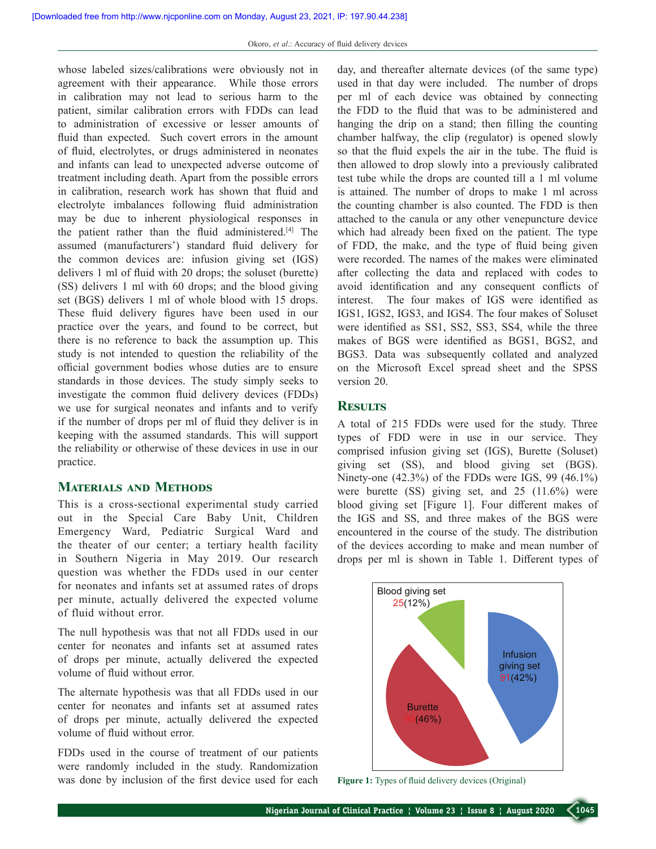whose labeled sizes/calibrations were obviously not in agreement with their appearance. While those errors in calibration may not lead to serious harm to the patient, similar calibration errors with FDDs can lead to administration of excessive or lesser amounts of fluid than expected. Such covert errors in the amount of fluid, electrolytes, or drugs administered in neonates and infants can lead to unexpected adverse outcome of treatment including death. Apart from the possible errors in calibration, research work has shown that fluid and electrolyte imbalances following fluid administration may be due to inherent physiological responses in the patient rather than the fluid administered.[4] The assumed (manufacturers') standard fluid delivery for the common devices are: infusion giving set (IGS) delivers 1 ml of fluid with 20 drops; the soluset (burette) (SS) delivers 1 ml with 60 drops; and the blood giving set (BGS) delivers 1 ml of whole blood with 15 drops. These fluid delivery figures have been used in our practice over the years, and found to be correct, but there is no reference to back the assumption up. This study is not intended to question the reliability of the official government bodies whose duties are to ensure standards in those devices. The study simply seeks to investigate the common fluid delivery devices (FDDs) we use for surgical neonates and infants and to verify if the number of drops per ml of fluid they deliver is in keeping with the assumed standards. This will support the reliability or otherwise of these devices in use in our practice.

## **Materials and Methods**

This is a cross‑sectional experimental study carried out in the Special Care Baby Unit, Children Emergency Ward, Pediatric Surgical Ward and the theater of our center; a tertiary health facility in Southern Nigeria in May 2019. Our research question was whether the FDDs used in our center for neonates and infants set at assumed rates of drops per minute, actually delivered the expected volume of fluid without error.

The null hypothesis was that not all FDDs used in our center for neonates and infants set at assumed rates of drops per minute, actually delivered the expected volume of fluid without error.

The alternate hypothesis was that all FDDs used in our center for neonates and infants set at assumed rates of drops per minute, actually delivered the expected volume of fluid without error.

FDDs used in the course of treatment of our patients were randomly included in the study. Randomization was done by inclusion of the first device used for each day, and thereafter alternate devices (of the same type) used in that day were included. The number of drops per ml of each device was obtained by connecting the FDD to the fluid that was to be administered and hanging the drip on a stand; then filling the counting chamber halfway, the clip (regulator) is opened slowly so that the fluid expels the air in the tube. The fluid is then allowed to drop slowly into a previously calibrated test tube while the drops are counted till a 1 ml volume is attained. The number of drops to make 1 ml across the counting chamber is also counted. The FDD is then attached to the canula or any other venepuncture device which had already been fixed on the patient. The type of FDD, the make, and the type of fluid being given were recorded. The names of the makes were eliminated after collecting the data and replaced with codes to avoid identification and any consequent conflicts of interest. The four makes of IGS were identified as IGS1, IGS2, IGS3, and IGS4. The four makes of Soluset were identified as SS1, SS2, SS3, SS4, while the three makes of BGS were identified as BGS1, BGS2, and BGS3. Data was subsequently collated and analyzed on the Microsoft Excel spread sheet and the SPSS version 20.

## **Results**

A total of 215 FDDs were used for the study. Three types of FDD were in use in our service. They comprised infusion giving set (IGS), Burette (Soluset) giving set (SS), and blood giving set (BGS). Ninety-one  $(42.3\%)$  of the FDDs were IGS, 99  $(46.1\%)$ were burette (SS) giving set, and 25 (11.6%) were blood giving set [Figure 1]. Four different makes of the IGS and SS, and three makes of the BGS were encountered in the course of the study. The distribution of the devices according to make and mean number of drops per ml is shown in Table 1. Different types of



**Figure 1:** Types of fluid delivery devices (Original)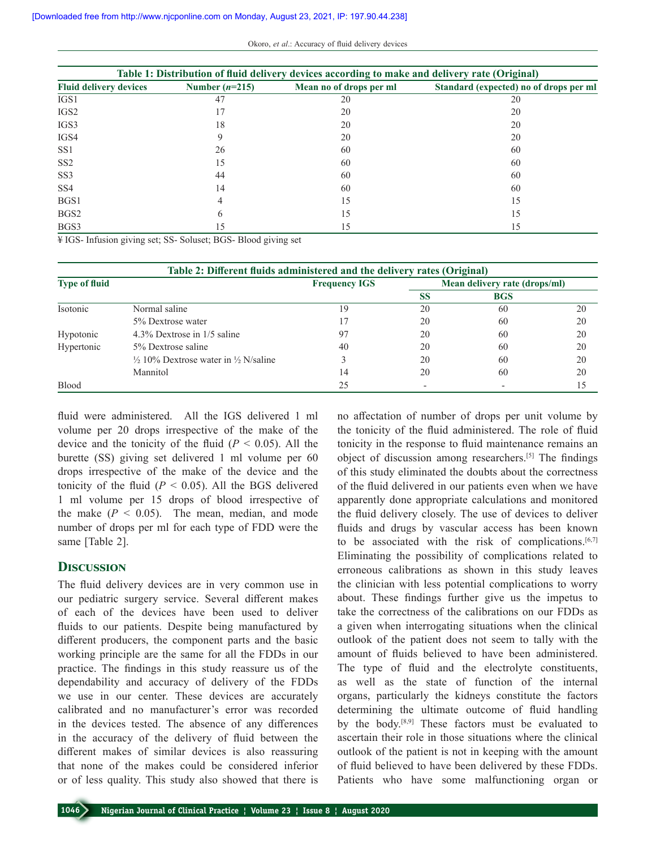| Table 1: Distribution of fluid delivery devices according to make and delivery rate (Original) |                  |                         |                                        |  |  |  |  |
|------------------------------------------------------------------------------------------------|------------------|-------------------------|----------------------------------------|--|--|--|--|
| <b>Fluid delivery devices</b>                                                                  | Number $(n=215)$ | Mean no of drops per ml | Standard (expected) no of drops per ml |  |  |  |  |
| IGS1                                                                                           | 47               | 20                      | 20                                     |  |  |  |  |
| IGS <sub>2</sub>                                                                               |                  | 20                      | 20                                     |  |  |  |  |
| IGS3                                                                                           | 18               | 20                      | 20                                     |  |  |  |  |
| IGS4                                                                                           | 9                | 20                      | 20                                     |  |  |  |  |
| SS <sub>1</sub>                                                                                | 26               | 60                      | 60                                     |  |  |  |  |
| SS <sub>2</sub>                                                                                | 15               | 60                      | 60                                     |  |  |  |  |
| SS <sub>3</sub>                                                                                | 44               | 60                      | 60                                     |  |  |  |  |
| SS <sub>4</sub>                                                                                | 14               | 60                      | 60                                     |  |  |  |  |
| BGS1                                                                                           | 4                | 15                      | 15                                     |  |  |  |  |
| BGS <sub>2</sub>                                                                               | 6                | 15                      | 15                                     |  |  |  |  |
| BGS3                                                                                           | 15               | 15                      | 15                                     |  |  |  |  |

¥ IGS‑ Infusion giving set; SS‑ Soluset; BGS‑ Blood giving set

| Table 2: Different fluids administered and the delivery rates (Original) |                                                            |                      |                               |            |    |  |  |  |
|--------------------------------------------------------------------------|------------------------------------------------------------|----------------------|-------------------------------|------------|----|--|--|--|
| <b>Type of fluid</b>                                                     |                                                            | <b>Frequency IGS</b> | Mean delivery rate (drops/ml) |            |    |  |  |  |
|                                                                          |                                                            |                      | <b>SS</b>                     | <b>BGS</b> |    |  |  |  |
| Isotonic                                                                 | Normal saline                                              | 19                   | 20                            | 60         | 20 |  |  |  |
|                                                                          | 5% Dextrose water                                          |                      | 20                            | 60         | 20 |  |  |  |
| Hypotonic                                                                | 4.3% Dextrose in 1/5 saline                                | 97                   | 20                            | 60         | 20 |  |  |  |
| Hypertonic                                                               | 5% Dextrose saline                                         | 40                   | 20                            | 60         | 20 |  |  |  |
|                                                                          | $\frac{1}{2}$ 10% Dextrose water in $\frac{1}{2}$ N/saline |                      | 20                            | 60         | 20 |  |  |  |
|                                                                          | Mannitol                                                   | 14                   | 20                            | 60         | 20 |  |  |  |
| Blood                                                                    |                                                            | 25                   |                               |            | 15 |  |  |  |

fluid were administered. All the IGS delivered 1 ml volume per 20 drops irrespective of the make of the device and the tonicity of the fluid  $(P < 0.05)$ . All the burette (SS) giving set delivered 1 ml volume per 60 drops irrespective of the make of the device and the tonicity of the fluid  $(P < 0.05)$ . All the BGS delivered 1 ml volume per 15 drops of blood irrespective of the make  $(P < 0.05)$ . The mean, median, and mode number of drops per ml for each type of FDD were the same [Table 2].

### **Discussion**

The fluid delivery devices are in very common use in our pediatric surgery service. Several different makes of each of the devices have been used to deliver fluids to our patients. Despite being manufactured by different producers, the component parts and the basic working principle are the same for all the FDDs in our practice. The findings in this study reassure us of the dependability and accuracy of delivery of the FDDs we use in our center. These devices are accurately calibrated and no manufacturer's error was recorded in the devices tested. The absence of any differences in the accuracy of the delivery of fluid between the different makes of similar devices is also reassuring that none of the makes could be considered inferior or of less quality. This study also showed that there is no affectation of number of drops per unit volume by the tonicity of the fluid administered. The role of fluid tonicity in the response to fluid maintenance remains an object of discussion among researchers.[5] The findings of this study eliminated the doubts about the correctness of the fluid delivered in our patients even when we have apparently done appropriate calculations and monitored the fluid delivery closely. The use of devices to deliver fluids and drugs by vascular access has been known to be associated with the risk of complications.<sup>[6,7]</sup> Eliminating the possibility of complications related to erroneous calibrations as shown in this study leaves the clinician with less potential complications to worry about. These findings further give us the impetus to take the correctness of the calibrations on our FDDs as a given when interrogating situations when the clinical outlook of the patient does not seem to tally with the amount of fluids believed to have been administered. The type of fluid and the electrolyte constituents, as well as the state of function of the internal organs, particularly the kidneys constitute the factors determining the ultimate outcome of fluid handling by the body.[8,9] These factors must be evaluated to ascertain their role in those situations where the clinical outlook of the patient is not in keeping with the amount of fluid believed to have been delivered by these FDDs. Patients who have some malfunctioning organ or